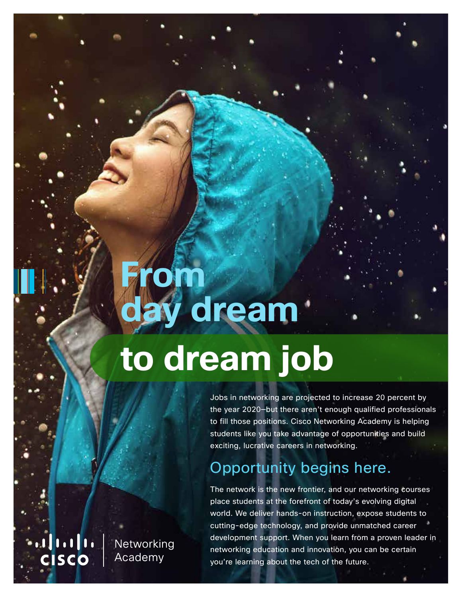# **From** ay dream **to dream job**

Jobs in networking are projected to increase 20 percent by the year 2020—but there aren't enough qualified professionals to fill those positions. Cisco Networking Academy is helping students like you take advantage of opportunities and build exciting, lucrative careers in networking.

# Opportunity begins here.

The network is the new frontier, and our networking courses place students at the forefront of today's evolving digital world. We deliver hands-on instruction, expose students to cutting-edge technology, and provide unmatched career development support. When you learn from a proven leader in networking education and innovation, you can be certain you're learning about the tech of the future.

 $\begin{array}{c|c|c|c|c|c} \hline \textbf{1} & \textbf{1} & \textbf{1} & \textbf{1} & \textbf{1} \\ \hline \textbf{2} & \textbf{1} & \textbf{1} & \textbf{1} & \textbf{1} & \textbf{1} & \textbf{1} \\ \hline \end{array}$ Networking **CISCO** Academy